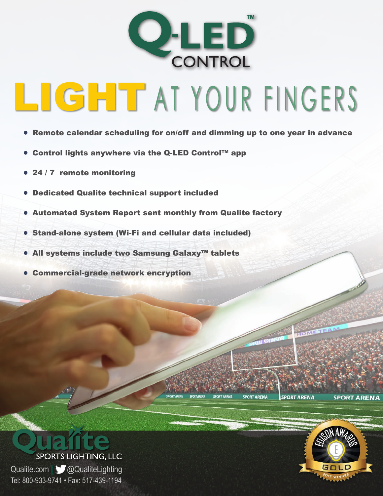

- LIGHT AT YOUR FINGERS
	- Remote calendar scheduling for on/off and dimming up to one year in advance
	- Control lights anywhere via the Q-LED Control™ app
	- 24 / 7 remote monitoring
	- Dedicated Qualite technical support included
	- Automated System Report sent monthly from Qualite factory
	- Stand-alone system (Wi-Fi and cellular data included)
	- All systems include two Samsung Galaxy™ tablets
	- Commercial-grade network encryption





**SPORT ARENA** 

**SPORT ARENA**